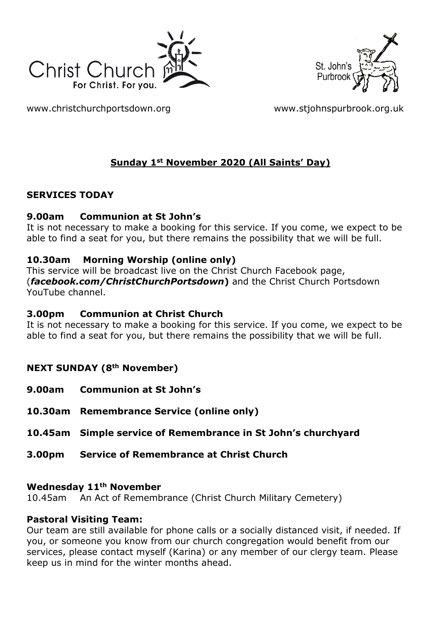



[www.christchurchportsdown.org](http://www.christchurchportsdown.org/) [www.stjohnspurbrook.org.uk](http://www.stjohnspurbrook.org.uk/)

### **Sunday 1st November 2020 (All Saints' Day)**

### **SERVICES TODAY**

### **9.00am Communion at St John's**

It is not necessary to make a booking for this service. If you come, we expect to be able to find a seat for you, but there remains the possibility that we will be full.

### **10.30am Morning Worship (online only)**

This service will be broadcast live on the Christ Church Facebook page, (*facebook.com/ChristChurchPortsdown***)** and the Christ Church Portsdown YouTube channel.

#### **3.00pm Communion at Christ Church**

It is not necessary to make a booking for this service. If you come, we expect to be able to find a seat for you, but there remains the possibility that we will be full.

### **NEXT SUNDAY (8th November)**

- **9.00am Communion at St John's**
- **10.30am Remembrance Service (online only)**
- **10.45am Simple service of Remembrance in St John's churchyard**
- **3.00pm Service of Remembrance at Christ Church**

#### **Wednesday 11th November**

10.45am An Act of Remembrance (Christ Church Military Cemetery)

### **Pastoral Visiting Team:**

Our team are still available for phone calls or a socially distanced visit, if needed. If you, or someone you know from our church congregation would benefit from our services, please contact myself (Karina) or any member of our clergy team. Please keep us in mind for the winter months ahead.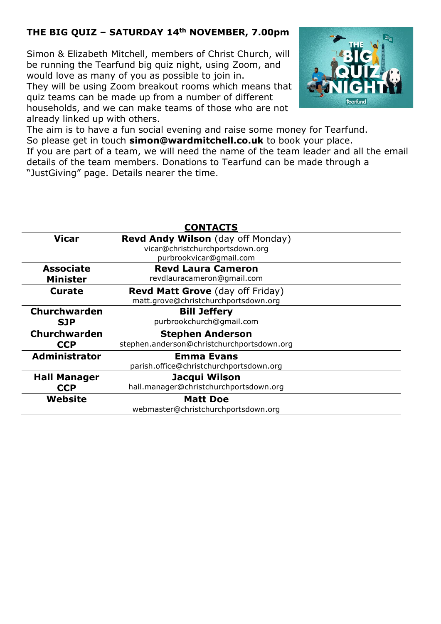### **THE BIG QUIZ – SATURDAY 14th NOVEMBER, 7.00pm**

Simon & Elizabeth Mitchell, members of Christ Church, will be running the Tearfund big quiz night, using Zoom, and would love as many of you as possible to join in.

They will be using Zoom breakout rooms which means that quiz teams can be made up from a number of different households, and we can make teams of those who are not already linked up with others.



The aim is to have a fun social evening and raise some money for Tearfund. So please get in touch **[simon@wardmitchell.co.uk](mailto:simon@wardmitchell.co.uk)** to book your place. If you are part of a team, we will need the name of the team leader and all the email details of the team members. Donations to Tearfund can be made through a "JustGiving" page. Details nearer the time.

| <b>CONTACTS</b>                     |                                                                                                        |
|-------------------------------------|--------------------------------------------------------------------------------------------------------|
| <b>Vicar</b>                        | <b>Revd Andy Wilson</b> (day off Monday)<br>vicar@christchurchportsdown.org<br>purbrookvicar@gmail.com |
| <b>Associate</b><br><b>Minister</b> | <b>Revd Laura Cameron</b><br>revdlauracameron@gmail.com                                                |
| Curate                              | <b>Revd Matt Grove</b> (day off Friday)<br>matt.grove@christchurchportsdown.org                        |
| <b>Churchwarden</b><br><b>SJP</b>   | <b>Bill Jeffery</b><br>purbrookchurch@qmail.com                                                        |
| Churchwarden<br><b>CCP</b>          | <b>Stephen Anderson</b><br>stephen.anderson@christchurchportsdown.org                                  |
| <b>Administrator</b>                | <b>Emma Evans</b><br>parish.office@christchurchportsdown.org                                           |
| <b>Hall Manager</b><br><b>CCP</b>   | Jacqui Wilson<br>hall.manager@christchurchportsdown.org                                                |
| Website                             | <b>Matt Doe</b><br>webmaster@christchurchportsdown.org                                                 |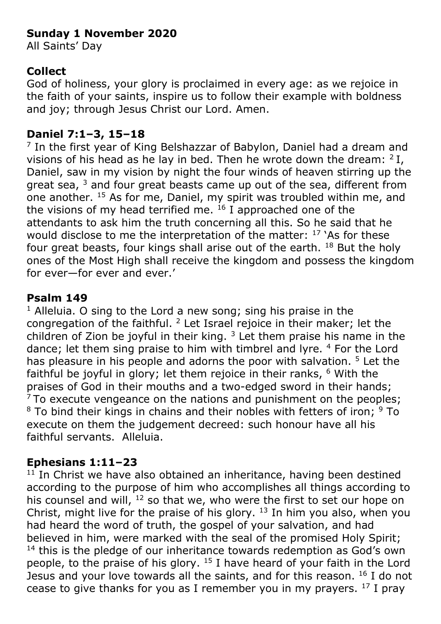# **Sunday 1 November 2020**

All Saints' Day

# **Collect**

God of holiness, your glory is proclaimed in every age: as we rejoice in the faith of your saints, inspire us to follow their example with boldness and joy; through Jesus Christ our Lord. Amen.

# **Daniel 7:1–3, 15–18**

<sup>7</sup> In the first year of King Belshazzar of Babylon, Daniel had a dream and visions of his head as he lay in bed. Then he wrote down the dream:  $2$  I, Daniel, saw in my vision by night the four winds of heaven stirring up the great sea,  $3$  and four great beasts came up out of the sea, different from one another. <sup>15</sup> As for me, Daniel, my spirit was troubled within me, and the visions of my head terrified me.  $^{16}$  I approached one of the attendants to ask him the truth concerning all this. So he said that he would disclose to me the interpretation of the matter:  $17$  'As for these four great beasts, four kings shall arise out of the earth. <sup>18</sup> But the holy ones of the Most High shall receive the kingdom and possess the kingdom for ever—for ever and ever.'

# **Psalm 149**

 $1$  Alleluia. O sing to the Lord a new song; sing his praise in the congregation of the faithful.  $2$  Let Israel rejoice in their maker; let the children of Zion be joyful in their king.  $3$  Let them praise his name in the dance; let them sing praise to him with timbrel and lyre. <sup>4</sup> For the Lord has pleasure in his people and adorns the poor with salvation. <sup>5</sup> Let the faithful be joyful in glory; let them rejoice in their ranks, <sup>6</sup> With the praises of God in their mouths and a two-edged sword in their hands;  $7$ To execute vengeance on the nations and punishment on the peoples;  $8$  To bind their kings in chains and their nobles with fetters of iron;  $9$  To execute on them the judgement decreed: such honour have all his faithful servants. Alleluia.

# **Ephesians 1:11–23**

 $11$  In Christ we have also obtained an inheritance, having been destined according to the purpose of him who accomplishes all things according to his counsel and will, <sup>12</sup> so that we, who were the first to set our hope on Christ, might live for the praise of his glory.  $13$  In him you also, when you had heard the word of truth, the gospel of your salvation, and had believed in him, were marked with the seal of the promised Holy Spirit;  $14$  this is the pledge of our inheritance towards redemption as God's own people, to the praise of his glory.  $15$  I have heard of your faith in the Lord Jesus and your love towards all the saints, and for this reason.  $16$  I do not cease to give thanks for you as I remember you in my prayers.  $17$  I pray